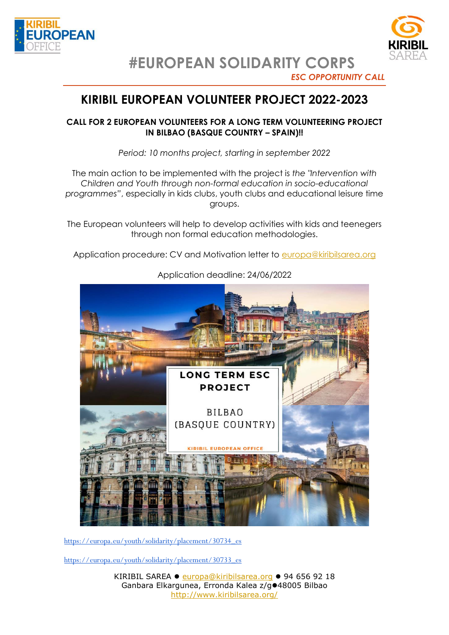



**#EUROPEAN SOLIDARITY CORPS**

## *ESC OPPORTUNITY CALL*

# **KIRIBIL EUROPEAN VOLUNTEER PROJECT 2022-2023**

## **CALL FOR 2 EUROPEAN VOLUNTEERS FOR A LONG TERM VOLUNTEERING PROJECT IN BILBAO (BASQUE COUNTRY – SPAIN)!!**

*Period: 10 months project, starting in september 2022*

The main action to be implemented with the project is *the "Intervention with Children and Youth through non-formal education in socio-educational programmes"*, especially in kids clubs, youth clubs and educational leisure time groups.

The European volunteers will help to develop activities with kids and teenegers through non formal education methodologies.

Application procedure: CV and Motivation letter to [europa@kiribilsarea.org](mailto:europa@kiribilsarea.org)



Application deadline: 24/06/2022

[https://europa.eu/youth/solidarity/placement/30734\\_es](https://europa.eu/youth/solidarity/placement/30734_es)

[https://europa.eu/youth/solidarity/placement/30733\\_es](https://europa.eu/youth/solidarity/placement/30733_es)

KIRIBIL SAREA · [europa@kiribilsarea.org](mailto:europa@kiribilsarea.org) · 94 656 92 18 Ganbara Elkargunea, Erronda Kalea z/g<sup>o48005</sup> Bilbao <http://www.kiribilsarea.org/>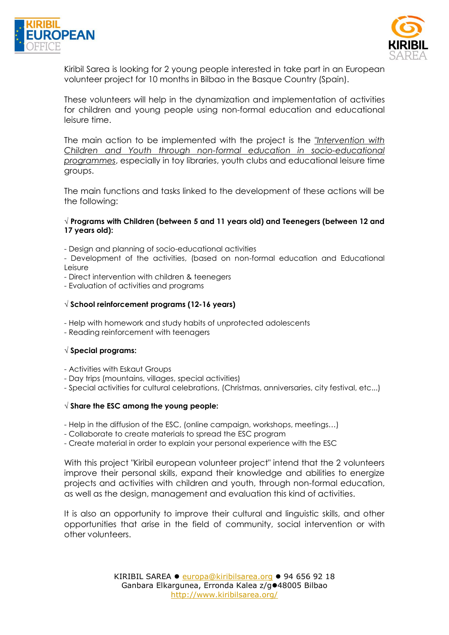



Kiribil Sarea is looking for 2 young people interested in take part in an European volunteer project for 10 months in Bilbao in the Basque Country (Spain).

These volunteers will help in the dynamization and implementation of activities for children and young people using non-formal education and educational leisure time.

The main action to be implemented with the project is the *"Intervention with Children and Youth through non-formal education in socio-educational programmes*, especially in toy libraries, youth clubs and educational leisure time groups.

The main functions and tasks linked to the development of these actions will be the following:

#### **√ Programs with Children (between 5 and 11 years old) and Teenegers (between 12 and 17 years old):**

- Design and planning of socio-educational activities
- Development of the activities, (based on non-formal education and Educational Leisure
- Direct intervention with children & teenegers
- Evaluation of activities and programs

#### **√ School reinforcement programs (12-16 years)**

- Help with homework and study habits of unprotected adolescents
- Reading reinforcement with teenagers

#### **√ Special programs:**

- Activities with Eskaut Groups
- Day trips (mountains, villages, special activities)
- Special activities for cultural celebrations, (Christmas, anniversaries, city festival, etc...)

#### **√ Share the ESC among the young people:**

- Help in the diffusion of the ESC, (online campaign, workshops, meetings…)

- Collaborate to create materials to spread the ESC program

- Create material in order to explain your personal experience with the ESC

With this project "Kiribil european volunteer project" intend that the 2 volunteers improve their personal skills, expand their knowledge and abilities to energize projects and activities with children and youth, through non-formal education, as well as the design, management and evaluation this kind of activities.

It is also an opportunity to improve their cultural and linguistic skills, and other opportunities that arise in the field of community, social intervention or with other volunteers.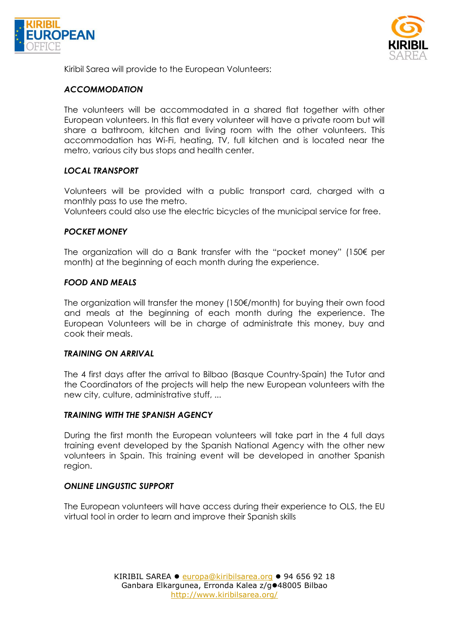



Kiribil Sarea will provide to the European Volunteers:

### *ACCOMMODATION*

The volunteers will be accommodated in a shared flat together with other European volunteers. In this flat every volunteer will have a private room but will share a bathroom, kitchen and living room with the other volunteers. This accommodation has Wi-Fi, heating, TV, full kitchen and is located near the metro, various city bus stops and health center.

## *LOCAL TRANSPORT*

Volunteers will be provided with a public transport card, charged with a monthly pass to use the metro.

Volunteers could also use the electric bicycles of the municipal service for free.

#### *POCKET MONEY*

The organization will do a Bank transfer with the "pocket money" (150€ per month) at the beginning of each month during the experience.

#### *FOOD AND MEALS*

The organization will transfer the money (150€/month) for buying their own food and meals at the beginning of each month during the experience. The European Volunteers will be in charge of administrate this money, buy and cook their meals.

#### *TRAINING ON ARRIVAL*

The 4 first days after the arrival to Bilbao (Basque Country-Spain) the Tutor and the Coordinators of the projects will help the new European volunteers with the new city, culture, administrative stuff, ...

#### *TRAINING WITH THE SPANISH AGENCY*

During the first month the European volunteers will take part in the 4 full days training event developed by the Spanish National Agency with the other new volunteers in Spain. This training event will be developed in another Spanish region.

#### *ONLINE LINGUSTIC SUPPORT*

The European volunteers will have access during their experience to OLS, the EU virtual tool in order to learn and improve their Spanish skills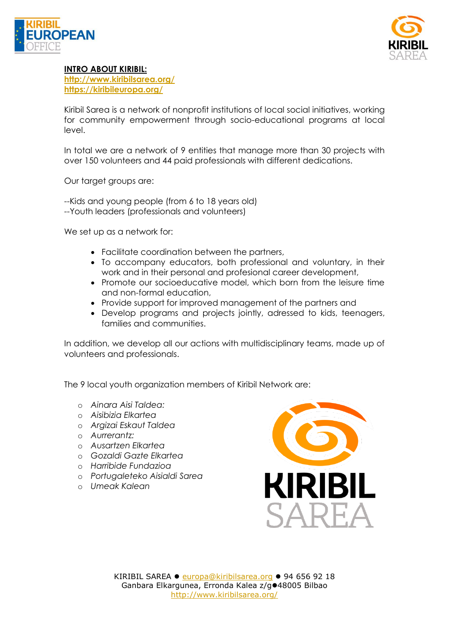



## **INTRO ABOUT KIRIBIL:**

**<http://www.kiribilsarea.org/> <https://kiribileuropa.org/>**

Kiribil Sarea is a network of nonprofit institutions of local social initiatives, working for community empowerment through socio-educational programs at local level.

In total we are a network of 9 entities that manage more than 30 projects with over 150 volunteers and 44 paid professionals with different dedications.

Our target groups are:

--Kids and young people (from 6 to 18 years old) --Youth leaders (professionals and volunteers)

We set up as a network for:

- Facilitate coordination between the partners,
- To accompany educators, both professional and voluntary, in their work and in their personal and profesional career development,
- Promote our socioeducative model, which born from the leisure time and non-formal education,
- Provide support for improved management of the partners and
- Develop programs and projects jointly, adressed to kids, teenagers, families and communities.

In addition, we develop all our actions with multidisciplinary teams, made up of volunteers and professionals.

The 9 local youth organization members of Kiribil Network are:

- o *Ainara Aisi Taldea:*
- o *Aisibizia Elkartea*
- o *Argizai Eskaut Taldea*
- o *Aurrerantz:*
- o *Ausartzen Elkartea*
- o *Gozaldi Gazte Elkartea*
- o *Harribide Fundazioa*
- o *Portugaleteko Aisialdi Sarea*
- o *Umeak Kalean*

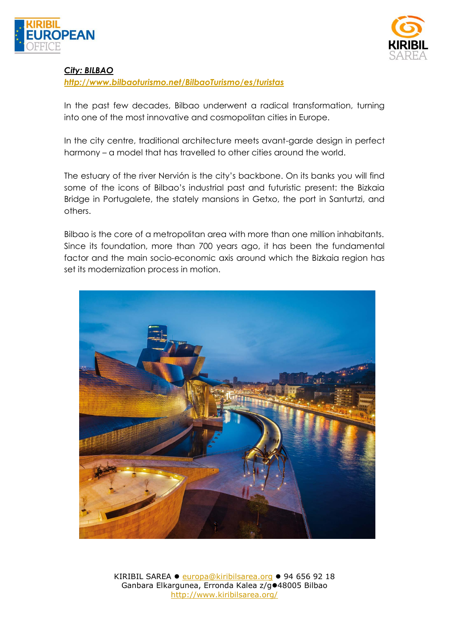



## *City: BILBAO*

*<http://www.bilbaoturismo.net/BilbaoTurismo/es/turistas>*

In the past few decades, Bilbao underwent a radical transformation, turning into one of the most innovative and cosmopolitan cities in Europe.

In the city centre, traditional architecture meets avant-garde design in perfect harmony – a model that has travelled to other cities around the world.

The estuary of the river Nervión is the city's backbone. On its banks you will find some of the icons of Bilbao's industrial past and futuristic present: the Bizkaia Bridge in Portugalete, the stately mansions in Getxo, the port in Santurtzi, and others.

Bilbao is the core of a metropolitan area with more than one million inhabitants. Since its foundation, more than 700 years ago, it has been the fundamental factor and the main socio-economic axis around which the Bizkaia region has set its modernization process in motion.



KIRIBIL SAREA · [europa@kiribilsarea.org](mailto:europa@kiribilsarea.org) · 94 656 92 18 Ganbara Elkargunea, Erronda Kalea z/g<sup>o48005</sup> Bilbao <http://www.kiribilsarea.org/>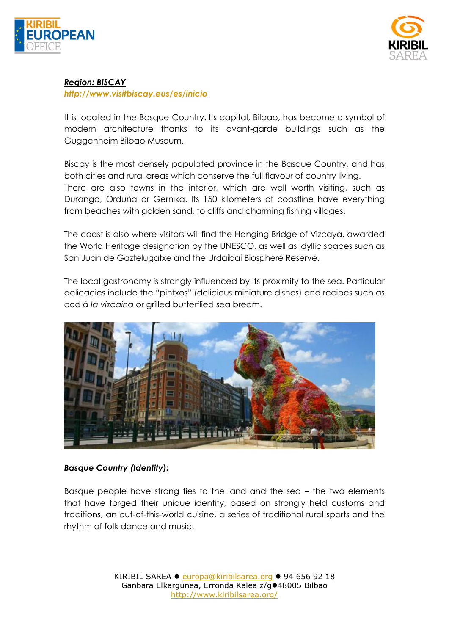



## *Region: BISCAY*

*<http://www.visitbiscay.eus/es/inicio>*

It is located in the Basque Country. Its capital, Bilbao, has become a symbol of modern architecture thanks to its avant-garde buildings such as the Guggenheim Bilbao Museum.

Biscay is the most densely populated province in the Basque Country, and has both cities and rural areas which conserve the full flavour of country living. There are also towns in the interior, which are well worth visiting, such as Durango, Orduña or Gernika. Its 150 kilometers of coastline have everything from beaches with golden sand, to cliffs and charming fishing villages.

The coast is also where visitors will find the Hanging Bridge of Vizcaya, awarded the World Heritage designation by the UNESCO, as well as idyllic spaces such as San Juan de Gaztelugatxe and the Urdaibai Biosphere Reserve.

The local gastronomy is strongly influenced by its proximity to the sea. Particular delicacies include the "pintxos" (delicious miniature dishes) and recipes such as cod *à la vizcaína* or grilled butterflied sea bream.



## *Basque Country (Identity):*

Basque people have strong ties to the land and the sea – the two elements that have forged their unique identity, based on strongly held customs and traditions, an out-of-this-world cuisine, a series of traditional rural sports and the rhythm of folk dance and music.